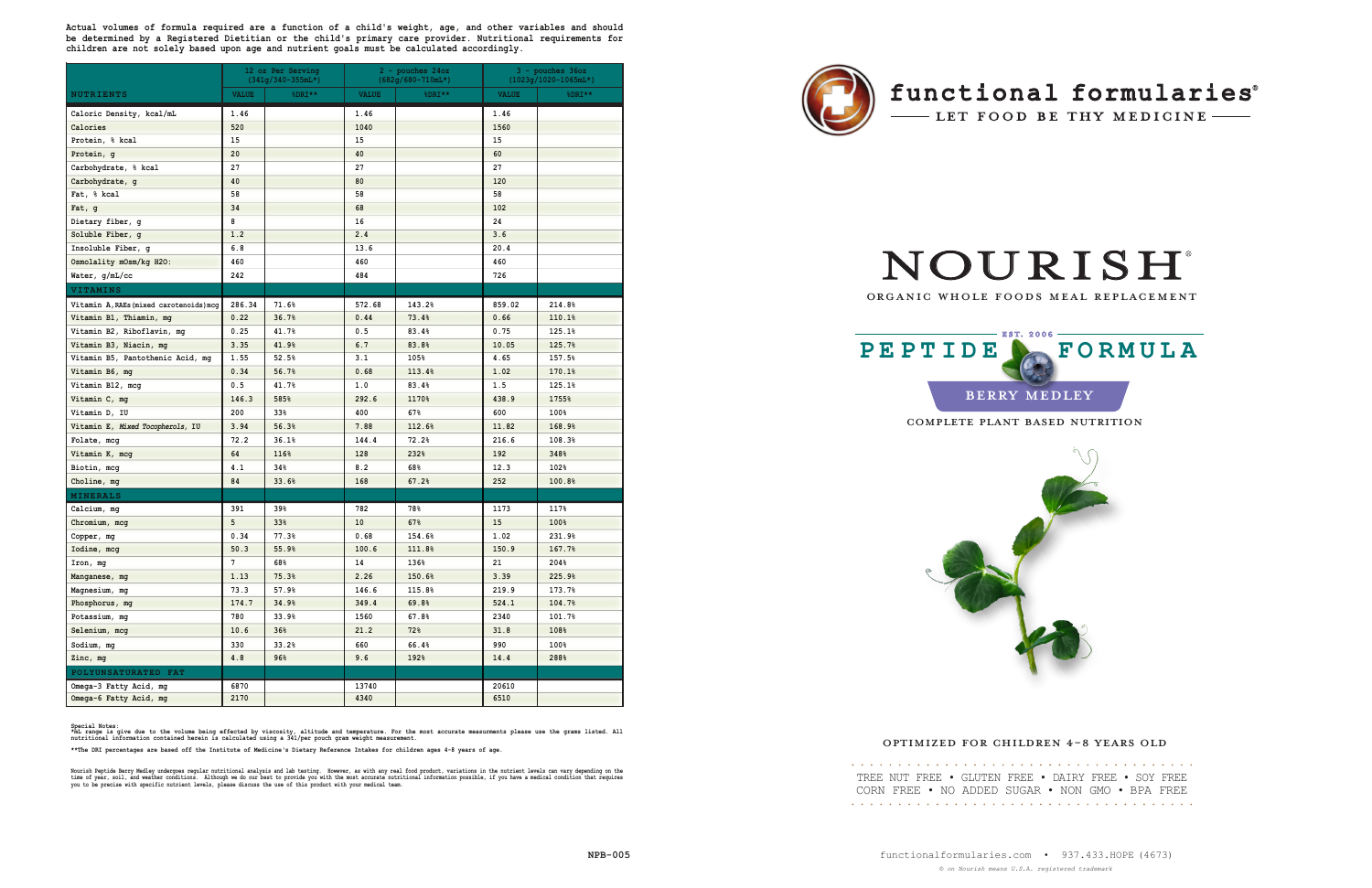|                                         | 12 oz Per Serving<br>$(341q/340-355mL*)$ |        | $2$ - pouches $24oz$<br>$(682g/680 - 710mL*)$ |        | $3 -$ pouches $36oz$<br>$(1023g/1020-1065mL*)$ |        |
|-----------------------------------------|------------------------------------------|--------|-----------------------------------------------|--------|------------------------------------------------|--------|
| <b>NUTRIENTS</b>                        | <b>VALUE</b>                             | %DRI** | <b>VALUE</b>                                  | %DRI** | <b>VALUE</b>                                   | %DRI** |
| Caloric Density, kcal/mL                | 1.46                                     |        | 1.46                                          |        | 1.46                                           |        |
| Calories                                | 520                                      |        | 1040                                          |        | 1560                                           |        |
| Protein, % kcal                         | 15                                       |        | 15                                            |        | 15                                             |        |
| Protein, g                              | 20                                       |        | 40                                            |        | 60                                             |        |
| Carbohydrate, % kcal                    | 27                                       |        | 27                                            |        | 27                                             |        |
| Carbohydrate, g                         | 40                                       |        | 80                                            |        | 120                                            |        |
| Fat, % kcal                             | 58                                       |        | 58                                            |        | 58                                             |        |
| Fat, g                                  | 34                                       |        | 68                                            |        | 102                                            |        |
| Dietary fiber, q                        | 8                                        |        | 16                                            |        | 24                                             |        |
| Soluble Fiber, g                        | 1.2                                      |        | 2.4                                           |        | 3.6                                            |        |
| Insoluble Fiber, g                      | 6.8                                      |        | 13.6                                          |        | 20.4                                           |        |
| Osmolality mOsm/kg H2O:                 | 460                                      |        | 460                                           |        | 460                                            |        |
| Water, g/mL/cc                          | 242                                      |        | 484                                           |        | 726                                            |        |
| VITAMINS                                |                                          |        |                                               |        |                                                |        |
| Vitamin A, RAEs (mixed carotenoids) mcg | 286.34                                   | 71.6%  | 572.68                                        | 143.2% | 859.02                                         | 214.8% |
| Vitamin B1, Thiamin, mg                 | 0.22                                     | 36.7%  | 0.44                                          | 73.4%  | 0.66                                           | 110.1% |
| Vitamin B2, Riboflavin, mg              | 0.25                                     | 41.7%  | 0.5                                           | 83.4%  | 0.75                                           | 125.1% |
| Vitamin B3, Niacin, mg                  | 3.35                                     | 41.9%  | 6.7                                           | 83.8%  | 10.05                                          | 125.7% |
| Vitamin B5, Pantothenic Acid, mg        | 1.55                                     | 52.5%  | 3.1                                           | 105%   | 4.65                                           | 157.5% |
| Vitamin B6, mg                          | 0.34                                     | 56.7%  | 0.68                                          | 113.4% | 1.02                                           | 170.1% |
| Vitamin B12, mcg                        | 0.5                                      | 41.7%  | 1.0                                           | 83.4%  | 1.5                                            | 125.1% |
| Vitamin C, mg                           | 146.3                                    | 585%   | 292.6                                         | 1170%  | 438.9                                          | 1755%  |
| Vitamin D, IU                           | 200                                      | 33%    | 400                                           | 67%    | 600                                            | 100%   |
| Vitamin E, Mixed Tocopherols, IU        | 3.94                                     | 56.3%  | 7.88                                          | 112.6% | 11.82                                          | 168.9% |
| Folate, mcg                             | 72.2                                     | 36.1%  | 144.4                                         | 72.2%  | 216.6                                          | 108.3% |
| Vitamin K, mcg                          | 64                                       | 116%   | 128                                           | 232%   | 192                                            | 348%   |
| Biotin, mcg                             | 4.1                                      | 34%    | 8.2                                           | 68%    | 12.3                                           | 102%   |
| Choline, mg                             | 84                                       | 33.6%  | 168                                           | 67.2%  | 252                                            | 100.8% |
| <b>MINERALS</b>                         |                                          |        |                                               |        |                                                |        |
| Calcium, mg                             | 391                                      | 39%    | 782                                           | 78%    | 1173                                           | 117%   |
| Chromium, mcg                           | 5                                        | 33%    | 10                                            | 67%    | 15                                             | 100%   |
| Copper, mg                              | 0.34                                     | 77.3%  | 0.68                                          | 154.6% | 1.02                                           | 231.9% |
| Iodine, mcg                             | 50.3                                     | 55.9%  | 100.6                                         | 111.8% | 150.9                                          | 167.7% |
| Iron, mg                                | $7\overline{ }$                          | 68%    | 14                                            | 136%   | 21                                             | 204%   |
| Manganese, mg                           | 1.13                                     | 75.3%  | 2.26                                          | 150.6% | 3.39                                           | 225.9% |
| Magnesium, mg                           | 73.3                                     | 57.9%  | 146.6                                         | 115.8% | 219.9                                          | 173.7% |
| Phosphorus, mg                          | 174.7                                    | 34.9%  | 349.4                                         | 69.8%  | 524.1                                          | 104.7% |
| Potassium, mg                           | 780                                      | 33.9%  | 1560                                          | 67.8%  | 2340                                           | 101.7% |
| Selenium, mcg                           | 10.6                                     | 36%    | 21.2                                          | 72%    | 31.8                                           | 108%   |
| Sodium, mg                              | 330                                      | 33.2%  | 660                                           | 66.4%  | 990                                            | 100%   |
| Zinc, mg                                | 4.8                                      | 96%    | 9.6                                           | 192%   | 14.4                                           | 288%   |
| POLYUNSATURATED FAT                     |                                          |        |                                               |        |                                                |        |
| Omega-3 Fatty Acid, mg                  | 6870                                     |        | 13740                                         |        | 20610                                          |        |
| Omega-6 Fatty Acid, mg                  | 2170                                     |        | 4340                                          |        | 6510                                           |        |

Special Notes:<br>\*mL range is give due to the volume being effected by viscosity, altitude and temperature. For the most accurate measurments please use the grams listed. All<br>nutritional information contained herein is calcu

**\*\*The DRI percentages are based off the Institute of Medicine's Dietary Reference Intakes for children ages 4-8 years of age.** 

Nourish Peptide Berry Medley undergoes regular nutritional analysis and lab testing. However, as with any real food product, variations in the nutrient levels can vary depending on the<br>time of year, soil, and weather condi



## functional formularies®

- LET FOOD BE THY MEDICINE

# **NOURISH**

**Actual volumes of formula required are a function of a child's weight, age, and other variables and should be determined by a Registered Dietitian or the child's primary care provider. Nutritional requirements for children are not solely based upon age and nutrient goals must be calculated accordingly.**

| TREE NUT FREE • GLUTEN FREE • DAIRY FREE • SOY FREE |  |  |  |
|-----------------------------------------------------|--|--|--|
| CORN FREE • NO ADDED SUGAR • NON GMO • BPA FREE     |  |  |  |
|                                                     |  |  |  |

#### ORGANIC WHOLE FOODS MEAL REPLACEMENT

#### OPTIMIZED FOR CHILDREN 4-8 YEARS OLD

COMPLETE PLANT BASED NUTRITION